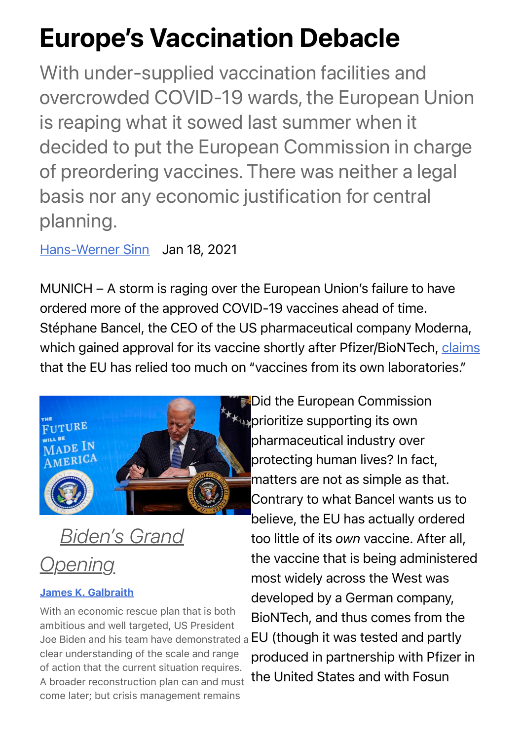## Europe's Vaccination Debacle

With under-supplied vaccination facilities and overcrowded COVID-19 wards, the European Union is reaping what it sowed last summer when it decided to put the European Commission in charge of preordering vaccines. There was neither a legal basis nor any economic justification for central planning.

[Hans-Werner Sinn](https://www.project-syndicate.org/columnist/hans-werner-sinn) Jan 18, 2021

MUNICH – A storm is raging over the European Union's failure to have ordered more of the approved COVID-19 vaccines ahead of time. Stéphane Bancel, the CEO of the US pharmaceutical company Moderna, which gained approval for its vaccine shortly after Pfizer/BioNTech, [claims](https://lexpansion.lexpress.fr/actualite-economique/stephane-bancel-moderna-pour-les-vaccins-l-ue-a-trop-mise-sur-les-laboratoires-europeens_2142086.html) that the EU has relied too much on "vaccines from its own laboratories."



*[Biden's Grand](https://www.project-syndicate.org/commentary/biden-american-rescue-package-by-james-k-galbraith-2021-01) Opening*

## [James K. Galbraith](https://www.project-syndicate.org/columnist/james-k-galbraith)

With an economic rescue plan that is both ambitious and well targeted, US President clear understanding of the scale and range of action that the current situation requires. A broader reconstruction plan can and must come later; but crisis management remains

Joe Biden and his team have demonstrated a EU (though it was tested and partly **Did the European Commission**  $\star$  prioritize supporting its own pharmaceutical industry over protecting human lives? In fact, matters are not as simple as that. Contrary to what Bancel wants us to believe, the EU has actually ordered too little of its *own* vaccine. After all, the vaccine that is being administered most widely across the West was developed by a German company, BioNTech, and thus comes from the produced in partnership with Pfizer in the United States and with Fosun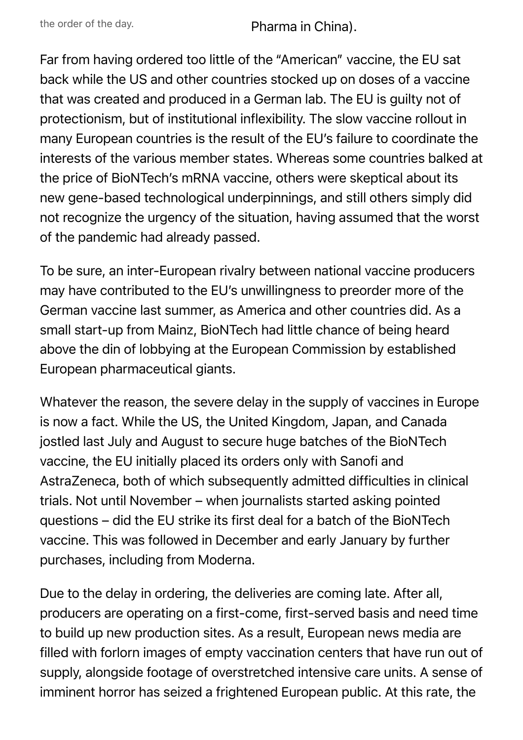the order of the day. Pharma in China).

Far from having ordered too little of the "American" vaccine, the EU sat back while the US and other countries stocked up on doses of a vaccine that was created and produced in a German lab. The EU is guilty not of protectionism, but of institutional inflexibility. The slow vaccine rollout in many European countries is the result of the EU's failure to coordinate the interests of the various member states. Whereas some countries balked at the price of BioNTech's mRNA vaccine, others were skeptical about its new gene-based technological underpinnings, and still others simply did not recognize the urgency of the situation, having assumed that the worst of the pandemic had already passed.

To be sure, an inter-European rivalry between national vaccine producers may have contributed to the EU's unwillingness to preorder more of the German vaccine last summer, as America and other countries did. As a small start-up from Mainz, BioNTech had little chance of being heard above the din of lobbying at the European Commission by established European pharmaceutical giants.

Whatever the reason, the severe delay in the supply of vaccines in Europe is now a fact. While the US, the United Kingdom, Japan, and Canada jostled last July and August to secure huge batches of the BioNTech vaccine, the EU initially placed its orders only with Sanofi and AstraZeneca, both of which subsequently admitted difficulties in clinical trials. Not until November – when journalists started asking pointed questions – did the EU strike its first deal for a batch of the BioNTech vaccine. This was followed in December and early January by further purchases, including from Moderna.

Due to the delay in ordering, the deliveries are coming late. After all, producers are operating on a first-come, first-served basis and need time to build up new production sites. As a result, European news media are filled with forlorn images of empty vaccination centers that have run out of supply, alongside footage of overstretched intensive care units. A sense of imminent horror has seized a frightened European public. At this rate, the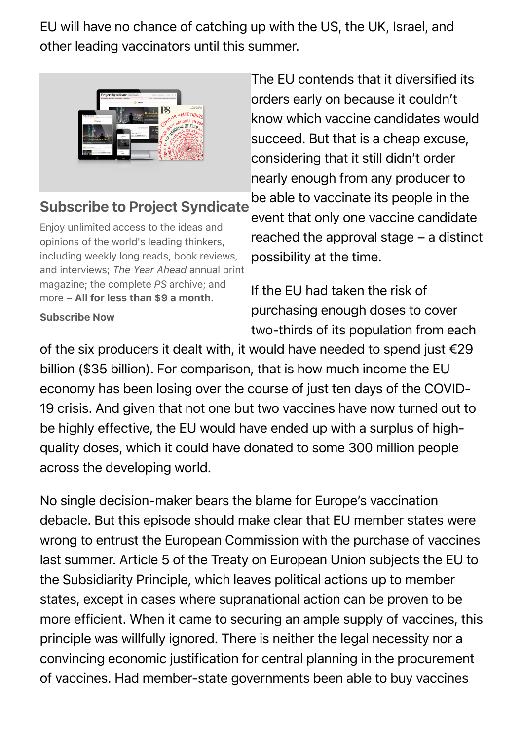EU will have no chance of catching up with the US, the UK, Israel, and other leading vaccinators until this summer.



## Subscribe to Project Syndicate

Enjoy unlimited access to the ideas and opinions of the world's leading thinkers, including weekly long reads, book reviews, and interviews; *The Year Ahead* annual print magazine; the complete *PS* archive; and more – All for less than \$9 a month.

Subscribe Now

The EU contends that it diversified its orders early on because it couldn't know which vaccine candidates would succeed. But that is a cheap excuse, considering that it still didn't order nearly enough from any producer to be able to vaccinate its people in the

event that only one vaccine candidate reached the approval stage – a distinct possibility at the time.

If the EU had taken the risk of purchasing enough doses to cover two-thirds of its population from each

of the six producers it dealt with, it would have needed to spend just €29 billion (\$35 billion). For comparison, that is how much income the EU economy has been losing over the course of just ten days of the COVID-19 crisis. And given that not one but two vaccines have now turned out to be highly effective, the EU would have ended up with a surplus of highquality doses, which it could have donated to some 300 million people across the developing world.

No single decision-maker bears the blame for Europe's vaccination debacle. But this episode should make clear that EU member states were wrong to entrust the European Commission with the purchase of vaccines last summer. Article 5 of the Treaty on European Union subjects the EU to the Subsidiarity Principle, which leaves political actions up to member states, except in cases where supranational action can be proven to be more efficient. When it came to securing an ample supply of vaccines, this principle was willfully ignored. There is neither the legal necessity nor a convincing economic justification for central planning in the procurement of vaccines. Had member-state governments been able to buy vaccines